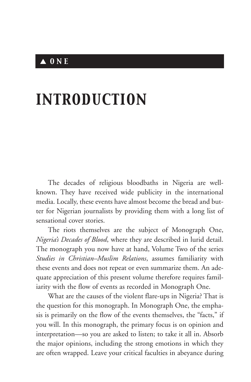## ▲ *ONE*

# *INTRODUCTION*

The decades of religious bloodbaths in Nigeria are wellknown. They have received wide publicity in the international media. Locally, these events have almost become the bread and butter for Nigerian journalists by providing them with a long list of sensational cover stories.

The riots themselves are the subject of Monograph One, *Nigeria's Decades of Blood*, where they are described in lurid detail. The monograph you now have at hand, Volume Two of the series *Studies in Christian–Muslim Relations*, assumes familiarity with these events and does not repeat or even summarize them. An adequate appreciation of this present volume therefore requires familiarity with the flow of events as recorded in Monograph One.

What are the causes of the violent flare-ups in Nigeria? That is the question for this monograph. In Monograph One, the emphasis is primarily on the flow of the events themselves, the "facts," if you will. In this monograph, the primary focus is on opinion and interpretation—so you are asked to listen; to take it all in. Absorb the major opinions, including the strong emotions in which they are often wrapped. Leave your critical faculties in abeyance during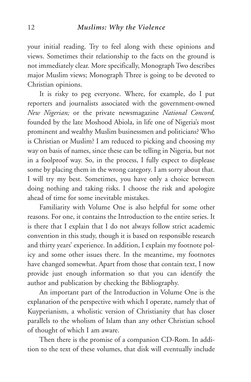your initial reading. Try to feel along with these opinions and views. Sometimes their relationship to the facts on the ground is not immediately clear. More specifically, Monograph Two describes major Muslim views; Monograph Three is going to be devoted to Christian opinions.

It is risky to peg everyone. Where, for example, do I put reporters and journalists associated with the government-owned *New Nigerian;* or the private newsmagazine *National Concord,* founded by the late Moshood Abiola, in life one of Nigeria's most prominent and wealthy Muslim businessmen and politicians? Who is Christian or Muslim? I am reduced to picking and choosing my way on basis of names, since these can be telling in Nigeria, but not in a foolproof way. So, in the process, I fully expect to displease some by placing them in the wrong category. I am sorry about that. I will try my best. Sometimes, you have only a choice between doing nothing and taking risks. I choose the risk and apologize ahead of time for some inevitable mistakes.

Familiarity with Volume One is also helpful for some other reasons. For one, it contains the Introduction to the entire series. It is there that I explain that I do not always follow strict academic convention in this study, though it is based on responsible research and thirty years' experience. In addition, I explain my footnote policy and some other issues there. In the meantime, my footnotes have changed somewhat. Apart from those that contain text, I now provide just enough information so that you can identify the author and publication by checking the Bibliography.

An important part of the Introduction in Volume One is the explanation of the perspective with which I operate, namely that of Kuyperianism, a wholistic version of Christianity that has closer parallels to the wholism of Islam than any other Christian school of thought of which I am aware.

Then there is the promise of a companion CD-Rom. In addition to the text of these volumes, that disk will eventually include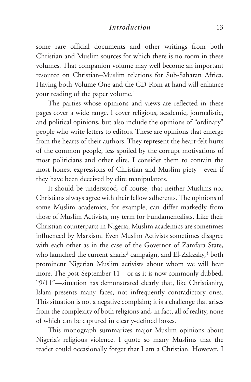#### *Introduction* 13

some rare official documents and other writings from both Christian and Muslim sources for which there is no room in these volumes. That companion volume may well become an important resource on Christian–Muslim relations for Sub-Saharan Africa. Having both Volume One and the CD-Rom at hand will enhance your reading of the paper volume.<sup>1</sup>

The parties whose opinions and views are reflected in these pages cover a wide range. I cover religious, academic, journalistic, and political opinions, but also include the opinions of "ordinary" people who write letters to editors. These are opinions that emerge from the hearts of their authors. They represent the heart-felt hurts of the common people, less spoiled by the corrupt motivations of most politicians and other elite. I consider them to contain the most honest expressions of Christian and Muslim piety—even if they have been deceived by elite manipulators.

It should be understood, of course, that neither Muslims nor Christians always agree with their fellow adherents. The opinions of some Muslim academics, for example, can differ markedly from those of Muslim Activists, my term for Fundamentalists. Like their Christian counterparts in Nigeria, Muslim academics are sometimes influenced by Marxism. Even Muslim Activists sometimes disagree with each other as in the case of the Governor of Zamfara State, who launched the current sharia<sup>2</sup> campaign, and El-Zakzaky,<sup>3</sup> both prominent Nigerian Muslim activists about whom we will hear more. The post-September 11—or as it is now commonly dubbed, "9/11"—situation has demonstrated clearly that, like Christianity, Islam presents many faces, not infrequently contradictory ones. This situation is not a negative complaint; it is a challenge that arises from the complexity of both religions and, in fact, all of reality, none of which can be captured in clearly-defined boxes.

This monograph summarizes major Muslim opinions about Nigeria's religious violence. I quote so many Muslims that the reader could occasionally forget that I am a Christian. However, I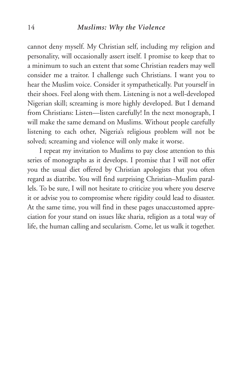#### 14 *Muslims: Why the Violence*

cannot deny myself. My Christian self, including my religion and personality, will occasionally assert itself. I promise to keep that to a minimum to such an extent that some Christian readers may well consider me a traitor. I challenge such Christians. I want you to hear the Muslim voice. Consider it sympathetically. Put yourself in their shoes. Feel along with them. Listening is not a well-developed Nigerian skill; screaming is more highly developed. But I demand from Christians: Listen—listen carefully! In the next monograph, I will make the same demand on Muslims. Without people carefully listening to each other, Nigeria's religious problem will not be solved; screaming and violence will only make it worse.

I repeat my invitation to Muslims to pay close attention to this series of monographs as it develops. I promise that I will not offer you the usual diet offered by Christian apologists that you often regard as diatribe. You will find surprising Christian–Muslim parallels. To be sure, I will not hesitate to criticize you where you deserve it or advise you to compromise where rigidity could lead to disaster. At the same time, you will find in these pages unaccustomed appreciation for your stand on issues like sharia, religion as a total way of life, the human calling and secularism. Come, let us walk it together.